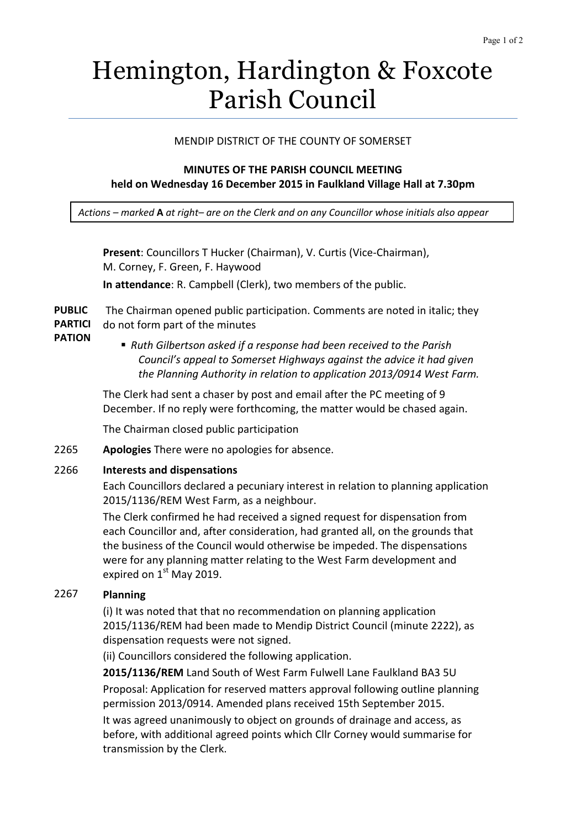# Hemington, Hardington & Foxcote Parish Council

## MENDIP DISTRICT OF THE COUNTY OF SOMERSET

## **MINUTES OF THE PARISH COUNCIL MEETING held on Wednesday 16 December 2015 in Faulkland Village Hall at 7.30pm**

*Actions – marked* **A** *at right– are on the Clerk and on any Councillor whose initials also appear*

**Present**: Councillors T Hucker (Chairman), V. Curtis (Vice-Chairman), M. Corney, F. Green, F. Haywood **In attendance**: R. Campbell (Clerk), two members of the public.

**PUBLIC PARTICI** The Chairman opened public participation. Comments are noted in italic; they do not form part of the minutes

- **PATION**
- *Ruth Gilbertson asked if a response had been received to the Parish Council's appeal to Somerset Highways against the advice it had given the Planning Authority in relation to application 2013/0914 West Farm.*

The Clerk had sent a chaser by post and email after the PC meeting of 9 December. If no reply were forthcoming, the matter would be chased again.

The Chairman closed public participation

2265 **Apologies** There were no apologies for absence.

#### 2266 **Interests and dispensations**

Each Councillors declared a pecuniary interest in relation to planning application 2015/1136/REM West Farm, as a neighbour.

The Clerk confirmed he had received a signed request for dispensation from each Councillor and, after consideration, had granted all, on the grounds that the business of the Council would otherwise be impeded. The dispensations were for any planning matter relating to the West Farm development and expired on  $1<sup>st</sup>$  May 2019.

## 2267 **Planning**

(i) It was noted that that no recommendation on planning application 2015/1136/REM had been made to Mendip District Council (minute 2222), as dispensation requests were not signed.

(ii) Councillors considered the following application.

**2015/1136/REM** Land South of West Farm Fulwell Lane Faulkland BA3 5U Proposal: Application for reserved matters approval following outline planning permission 2013/0914. Amended plans received 15th September 2015. It was agreed unanimously to object on grounds of drainage and access, as before, with additional agreed points which Cllr Corney would summarise for transmission by the Clerk.